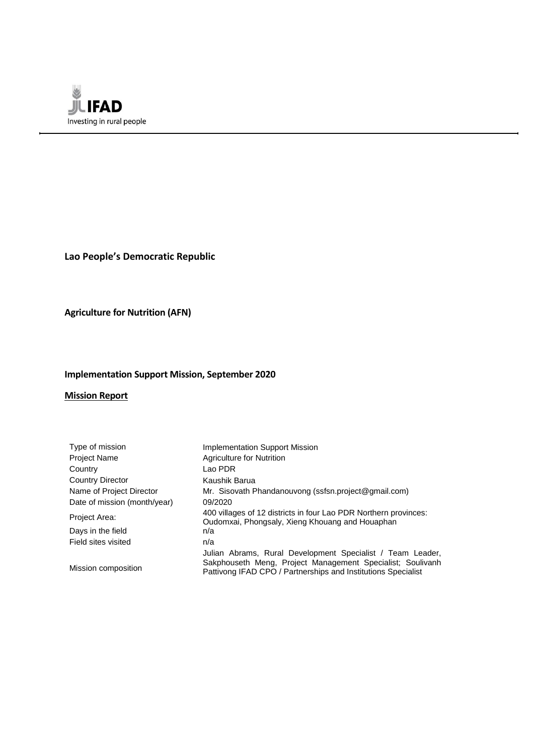

**Lao People's Democratic Republic**

**Agriculture for Nutrition (AFN)**

# **Implementation Support Mission, September 2020**

## **Mission Report**

| Type of mission              | <b>Implementation Support Mission</b>                                                                                                                                                     |
|------------------------------|-------------------------------------------------------------------------------------------------------------------------------------------------------------------------------------------|
| Project Name                 | Agriculture for Nutrition                                                                                                                                                                 |
| Country                      | Lao PDR                                                                                                                                                                                   |
| <b>Country Director</b>      | Kaushik Barua                                                                                                                                                                             |
| Name of Project Director     | Mr. Sisovath Phandanouvong (ssfsn.project@gmail.com)                                                                                                                                      |
| Date of mission (month/year) | 09/2020                                                                                                                                                                                   |
| Project Area:                | 400 villages of 12 districts in four Lao PDR Northern provinces:<br>Oudomxai, Phongsaly, Xieng Khouang and Houaphan                                                                       |
| Days in the field            | n/a                                                                                                                                                                                       |
| Field sites visited          | n/a                                                                                                                                                                                       |
| Mission composition          | Julian Abrams, Rural Development Specialist / Team Leader,<br>Sakphouseth Meng, Project Management Specialist; Soulivanh<br>Pattivong IFAD CPO / Partnerships and Institutions Specialist |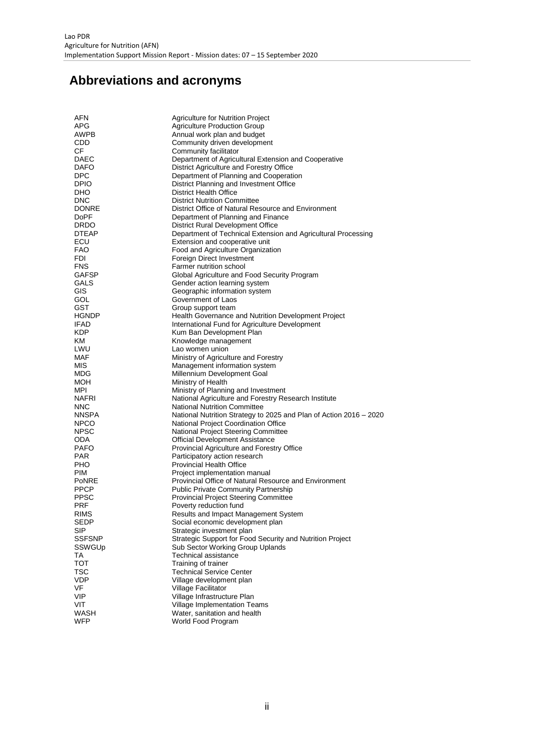# **Abbreviations and acronyms**

| AFN          | Agriculture for Nutrition Project                                                |
|--------------|----------------------------------------------------------------------------------|
| APG          | <b>Agriculture Production Group</b>                                              |
| AWPB         | Annual work plan and budget                                                      |
| CDD          | Community driven development                                                     |
| СF           | Community facilitator                                                            |
| DAEC         | Department of Agricultural Extension and Cooperative                             |
| DAFO         | District Agriculture and Forestry Office                                         |
| <b>DPC</b>   | Department of Planning and Cooperation                                           |
| DPIO         | District Planning and Investment Office                                          |
| DHO          | <b>District Health Office</b>                                                    |
| DNC          | <b>District Nutrition Committee</b>                                              |
| DONRE        | District Office of Natural Resource and Environment                              |
| DoPF         | Department of Planning and Finance                                               |
| DRDO         | <b>District Rural Development Office</b>                                         |
| <b>DTEAP</b> | Department of Technical Extension and Agricultural Processing                    |
| ECU          | Extension and cooperative unit                                                   |
| <b>FAO</b>   | Food and Agriculture Organization                                                |
| FDI          | Foreign Direct Investment                                                        |
| <b>FNS</b>   | Farmer nutrition school                                                          |
| GAFSP        | Global Agriculture and Food Security Program                                     |
| GALS         | Gender action learning system                                                    |
| GIS          | Geographic information system                                                    |
| GOL          | Government of Laos                                                               |
| GST          |                                                                                  |
| <b>HGNDP</b> | Group support team<br><b>Health Governance and Nutrition Development Project</b> |
| <b>IFAD</b>  |                                                                                  |
| KDP.         | International Fund for Agriculture Development<br>Kum Ban Development Plan       |
| ΚM           |                                                                                  |
| LWU          | Knowledge management                                                             |
|              | Lao women union                                                                  |
| MAF          | Ministry of Agriculture and Forestry                                             |
| MIS          | Management information system                                                    |
| MDG          | Millennium Development Goal                                                      |
| MOH          | Ministry of Health                                                               |
| MPI          | Ministry of Planning and Investment                                              |
| NAFRI        | National Agriculture and Forestry Research Institute                             |
| <b>NNC</b>   | <b>National Nutrition Committee</b>                                              |
| NNSPA        | National Nutrition Strategy to 2025 and Plan of Action 2016 - 2020               |
| <b>NPCO</b>  | National Project Coordination Office                                             |
| NPSC         | National Project Steering Committee                                              |
| ODA          | Official Development Assistance                                                  |
| PAFO         | Provincial Agriculture and Forestry Office                                       |
| PAR          | Participatory action research                                                    |
| PHO          | <b>Provincial Health Office</b>                                                  |
| PIM          | Project implementation manual                                                    |
| PoNRE        | Provincial Office of Natural Resource and Environment                            |
| PPCP         | <b>Public Private Community Partnership</b>                                      |
| PPSC         | <b>Provincial Project Steering Committee</b>                                     |
| <b>PRF</b>   | Poverty reduction fund                                                           |
| RIMS         | Results and Impact Management System                                             |
| <b>SEDP</b>  | Social economic development plan                                                 |
| SIP          | Strategic investment plan                                                        |
| SSFSNP       | Strategic Support for Food Security and Nutrition Project                        |
| SSWGUp       | Sub Sector Working Group Uplands                                                 |
| TA           | <b>Technical assistance</b>                                                      |
| TOT          | Training of trainer                                                              |
| TSC          | <b>Technical Service Center</b>                                                  |
| VDP          | Village development plan                                                         |
| VF           | Village Facilitator                                                              |
| VIP          | Village Infrastructure Plan                                                      |
| VIT          | Village Implementation Teams                                                     |
| WASH         | Water, sanitation and health                                                     |
| WFP          | World Food Program                                                               |
|              |                                                                                  |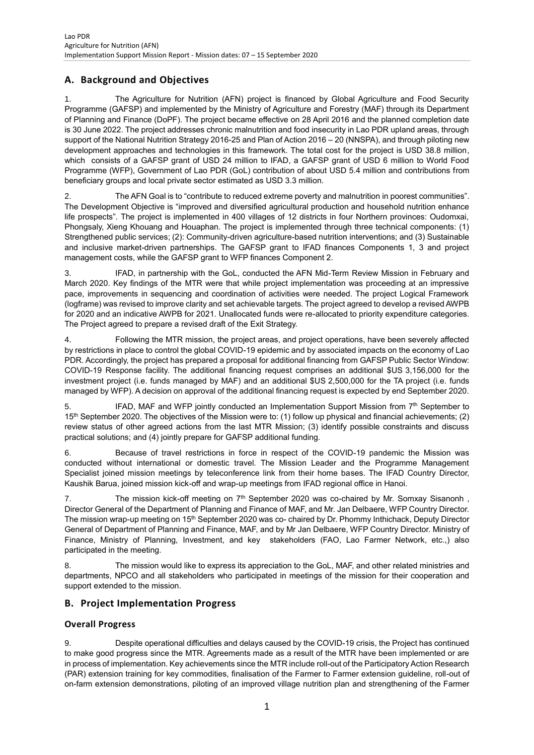# **A. Background and Objectives**

1. The Agriculture for Nutrition (AFN) project is financed by Global Agriculture and Food Security Programme (GAFSP) and implemented by the Ministry of Agriculture and Forestry (MAF) through its Department of Planning and Finance (DoPF). The project became effective on 28 April 2016 and the planned completion date is 30 June 2022. The project addresses chronic malnutrition and food insecurity in Lao PDR upland areas, through support of the National Nutrition Strategy 2016-25 and Plan of Action 2016 – 20 (NNSPA), and through piloting new development approaches and technologies in this framework. The total cost for the project is USD 38.8 million, which consists of a GAFSP grant of USD 24 million to IFAD, a GAFSP grant of USD 6 million to World Food Programme (WFP), Government of Lao PDR (GoL) contribution of about USD 5.4 million and contributions from beneficiary groups and local private sector estimated as USD 3.3 million.

2. The AFN Goal is to "contribute to reduced extreme poverty and malnutrition in poorest communities". The Development Objective is "improved and diversified agricultural production and household nutrition enhance life prospects". The project is implemented in 400 villages of 12 districts in four Northern provinces: Oudomxai, Phongsaly, Xieng Khouang and Houaphan. The project is implemented through three technical components: (1) Strengthened public services; (2): Community-driven agriculture-based nutrition interventions; and (3) Sustainable and inclusive market-driven partnerships. The GAFSP grant to IFAD finances Components 1, 3 and project management costs, while the GAFSP grant to WFP finances Component 2.

3. IFAD, in partnership with the GoL, conducted the AFN Mid-Term Review Mission in February and March 2020. Key findings of the MTR were that while project implementation was proceeding at an impressive pace, improvements in sequencing and coordination of activities were needed. The project Logical Framework (logframe) was revised to improve clarity and set achievable targets. The project agreed to develop a revised AWPB for 2020 and an indicative AWPB for 2021. Unallocated funds were re-allocated to priority expenditure categories. The Project agreed to prepare a revised draft of the Exit Strategy.

4. Following the MTR mission, the project areas, and project operations, have been severely affected by restrictions in place to control the global COVID-19 epidemic and by associated impacts on the economy of Lao PDR. Accordingly, the project has prepared a proposal for additional financing from GAFSP Public Sector Window: COVID-19 Response facility. The additional financing request comprises an additional \$US 3,156,000 for the investment project (i.e. funds managed by MAF) and an additional \$US 2,500,000 for the TA project (i.e. funds managed by WFP). A decision on approval of the additional financing request is expected by end September 2020.

5. IFAD, MAF and WFP jointly conducted an Implementation Support Mission from  $7<sup>th</sup>$  September to 15<sup>th</sup> September 2020. The objectives of the Mission were to: (1) follow up physical and financial achievements; (2) review status of other agreed actions from the last MTR Mission; (3) identify possible constraints and discuss practical solutions; and (4) jointly prepare for GAFSP additional funding.

6. Because of travel restrictions in force in respect of the COVID-19 pandemic the Mission was conducted without international or domestic travel. The Mission Leader and the Programme Management Specialist joined mission meetings by teleconference link from their home bases. The IFAD Country Director, Kaushik Barua, joined mission kick-off and wrap-up meetings from IFAD regional office in Hanoi.

7. The mission kick-off meeting on  $7<sup>th</sup>$  September 2020 was co-chaired by Mr. Somxay Sisanonh, Director General of the Department of Planning and Finance of MAF, and Mr. Jan Delbaere, WFP Country Director. The mission wrap-up meeting on 15<sup>th</sup> September 2020 was co- chaired by Dr. Phommy Inthichack, Deputy Director General of Department of Planning and Finance, MAF, and by Mr Jan Delbaere, WFP Country Director. Ministry of Finance, Ministry of Planning, Investment, and key stakeholders (FAO, Lao Farmer Network, etc.,) also participated in the meeting.

8. The mission would like to express its appreciation to the GoL, MAF, and other related ministries and departments, NPCO and all stakeholders who participated in meetings of the mission for their cooperation and support extended to the mission.

## **B. Project Implementation Progress**

## **Overall Progress**

9. Despite operational difficulties and delays caused by the COVID-19 crisis, the Project has continued to make good progress since the MTR. Agreements made as a result of the MTR have been implemented or are in process of implementation. Key achievements since the MTR include roll-out of the Participatory Action Research (PAR) extension training for key commodities, finalisation of the Farmer to Farmer extension guideline, roll-out of on-farm extension demonstrations, piloting of an improved village nutrition plan and strengthening of the Farmer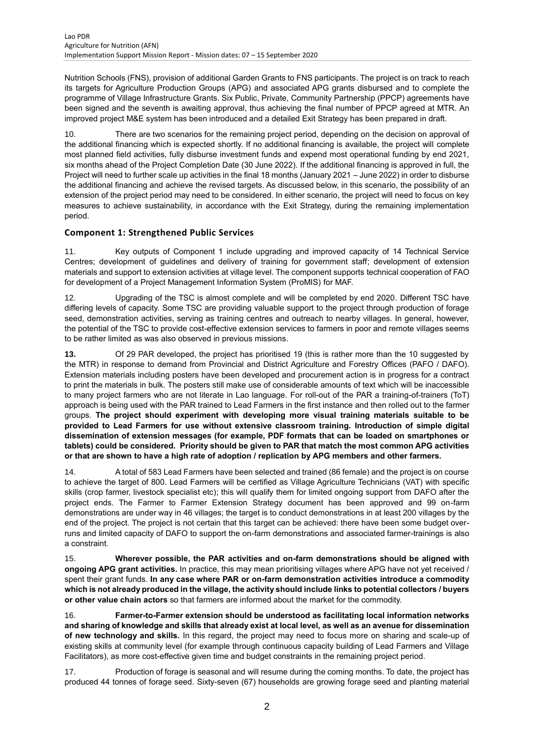Nutrition Schools (FNS), provision of additional Garden Grants to FNS participants. The project is on track to reach its targets for Agriculture Production Groups (APG) and associated APG grants disbursed and to complete the programme of Village Infrastructure Grants. Six Public, Private, Community Partnership (PPCP) agreements have been signed and the seventh is awaiting approval, thus achieving the final number of PPCP agreed at MTR. An improved project M&E system has been introduced and a detailed Exit Strategy has been prepared in draft.

10. There are two scenarios for the remaining project period, depending on the decision on approval of the additional financing which is expected shortly. If no additional financing is available, the project will complete most planned field activities, fully disburse investment funds and expend most operational funding by end 2021, six months ahead of the Project Completion Date (30 June 2022). If the additional financing is approved in full, the Project will need to further scale up activities in the final 18 months (January 2021 – June 2022) in order to disburse the additional financing and achieve the revised targets. As discussed below, in this scenario, the possibility of an extension of the project period may need to be considered. In either scenario, the project will need to focus on key measures to achieve sustainability, in accordance with the Exit Strategy, during the remaining implementation period.

## **Component 1: Strengthened Public Services**

11. Key outputs of Component 1 include upgrading and improved capacity of 14 Technical Service Centres; development of guidelines and delivery of training for government staff; development of extension materials and support to extension activities at village level. The component supports technical cooperation of FAO for development of a Project Management Information System (ProMIS) for MAF.

12. Upgrading of the TSC is almost complete and will be completed by end 2020. Different TSC have differing levels of capacity. Some TSC are providing valuable support to the project through production of forage seed, demonstration activities, serving as training centres and outreach to nearby villages. In general, however, the potential of the TSC to provide cost-effective extension services to farmers in poor and remote villages seems to be rather limited as was also observed in previous missions.

**13.** Of 29 PAR developed, the project has prioritised 19 (this is rather more than the 10 suggested by the MTR) in response to demand from Provincial and District Agriculture and Forestry Offices (PAFO / DAFO). Extension materials including posters have been developed and procurement action is in progress for a contract to print the materials in bulk. The posters still make use of considerable amounts of text which will be inaccessible to many project farmers who are not literate in Lao language. For roll-out of the PAR a training-of-trainers (ToT) approach is being used with the PAR trained to Lead Farmers in the first instance and then rolled out to the farmer groups. **The project should experiment with developing more visual training materials suitable to be provided to Lead Farmers for use without extensive classroom training. Introduction of simple digital dissemination of extension messages (for example, PDF formats that can be loaded on smartphones or tablets) could be considered. Priority should be given to PAR that match the most common APG activities or that are shown to have a high rate of adoption / replication by APG members and other farmers.** 

14. A total of 583 Lead Farmers have been selected and trained (86 female) and the project is on course to achieve the target of 800. Lead Farmers will be certified as Village Agriculture Technicians (VAT) with specific skills (crop farmer, livestock specialist etc); this will qualify them for limited ongoing support from DAFO after the project ends. The Farmer to Farmer Extension Strategy document has been approved and 99 on-farm demonstrations are under way in 46 villages; the target is to conduct demonstrations in at least 200 villages by the end of the project. The project is not certain that this target can be achieved: there have been some budget overruns and limited capacity of DAFO to support the on-farm demonstrations and associated farmer-trainings is also a constraint.

15. **Wherever possible, the PAR activities and on-farm demonstrations should be aligned with ongoing APG grant activities.** In practice, this may mean prioritising villages where APG have not yet received / spent their grant funds. **In any case where PAR or on-farm demonstration activities introduce a commodity which is not already produced in the village, the activity should include links to potential collectors / buyers or other value chain actors** so that farmers are informed about the market for the commodity.

16. **Farmer-to-Farmer extension should be understood as facilitating local information networks and sharing of knowledge and skills that already exist at local level, as well as an avenue for dissemination of new technology and skills.** In this regard, the project may need to focus more on sharing and scale-up of existing skills at community level (for example through continuous capacity building of Lead Farmers and Village Facilitators), as more cost-effective given time and budget constraints in the remaining project period.

17. Production of forage is seasonal and will resume during the coming months. To date, the project has produced 44 tonnes of forage seed. Sixty-seven (67) households are growing forage seed and planting material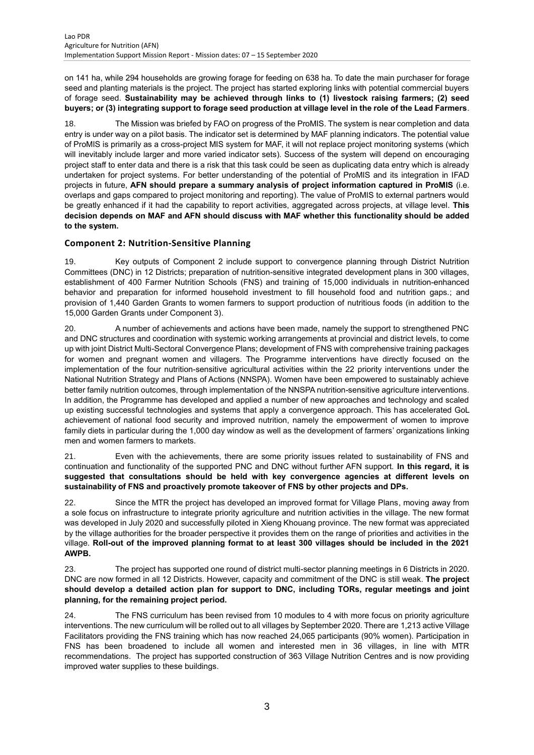on 141 ha, while 294 households are growing forage for feeding on 638 ha. To date the main purchaser for forage seed and planting materials is the project. The project has started exploring links with potential commercial buyers of forage seed. **Sustainability may be achieved through links to (1) livestock raising farmers; (2) seed buyers; or (3) integrating support to forage seed production at village level in the role of the Lead Farmers**.

18. The Mission was briefed by FAO on progress of the ProMIS. The system is near completion and data entry is under way on a pilot basis. The indicator set is determined by MAF planning indicators. The potential value of ProMIS is primarily as a cross-project MIS system for MAF, it will not replace project monitoring systems (which will inevitably include larger and more varied indicator sets). Success of the system will depend on encouraging project staff to enter data and there is a risk that this task could be seen as duplicating data entry which is already undertaken for project systems. For better understanding of the potential of ProMIS and its integration in IFAD projects in future, **AFN should prepare a summary analysis of project information captured in ProMIS** (i.e. overlaps and gaps compared to project monitoring and reporting). The value of ProMIS to external partners would be greatly enhanced if it had the capability to report activities, aggregated across projects, at village level. **This decision depends on MAF and AFN should discuss with MAF whether this functionality should be added to the system.**

#### **Component 2: Nutrition-Sensitive Planning**

19. Key outputs of Component 2 include support to convergence planning through District Nutrition Committees (DNC) in 12 Districts; preparation of nutrition-sensitive integrated development plans in 300 villages, establishment of 400 Farmer Nutrition Schools (FNS) and training of 15,000 individuals in nutrition-enhanced behavior and preparation for informed household investment to fill household food and nutrition gaps.; and provision of 1,440 Garden Grants to women farmers to support production of nutritious foods (in addition to the 15,000 Garden Grants under Component 3).

20. A number of achievements and actions have been made, namely the support to strengthened PNC and DNC structures and coordination with systemic working arrangements at provincial and district levels, to come up with joint District Multi-Sectoral Convergence Plans; development of FNS with comprehensive training packages for women and pregnant women and villagers. The Programme interventions have directly focused on the implementation of the four nutrition-sensitive agricultural activities within the 22 priority interventions under the National Nutrition Strategy and Plans of Actions (NNSPA). Women have been empowered to sustainably achieve better family nutrition outcomes, through implementation of the NNSPA nutrition-sensitive agriculture interventions. In addition, the Programme has developed and applied a number of new approaches and technology and scaled up existing successful technologies and systems that apply a convergence approach. This has accelerated GoL achievement of national food security and improved nutrition, namely the empowerment of women to improve family diets in particular during the 1,000 day window as well as the development of farmers' organizations linking men and women farmers to markets.

21. Even with the achievements, there are some priority issues related to sustainability of FNS and continuation and functionality of the supported PNC and DNC without further AFN support. **In this regard, it is suggested that consultations should be held with key convergence agencies at different levels on sustainability of FNS and proactively promote takeover of FNS by other projects and DPs.**

22. Since the MTR the project has developed an improved format for Village Plans, moving away from a sole focus on infrastructure to integrate priority agriculture and nutrition activities in the village. The new format was developed in July 2020 and successfully piloted in Xieng Khouang province. The new format was appreciated by the village authorities for the broader perspective it provides them on the range of priorities and activities in the village. **Roll-out of the improved planning format to at least 300 villages should be included in the 2021 AWPB.**

23. The project has supported one round of district multi-sector planning meetings in 6 Districts in 2020. DNC are now formed in all 12 Districts. However, capacity and commitment of the DNC is still weak. **The project should develop a detailed action plan for support to DNC, including TORs, regular meetings and joint planning, for the remaining project period.**

24. The FNS curriculum has been revised from 10 modules to 4 with more focus on priority agriculture interventions. The new curriculum will be rolled out to all villages by September 2020. There are 1,213 active Village Facilitators providing the FNS training which has now reached 24,065 participants (90% women). Participation in FNS has been broadened to include all women and interested men in 36 villages, in line with MTR recommendations. The project has supported construction of 363 Village Nutrition Centres and is now providing improved water supplies to these buildings.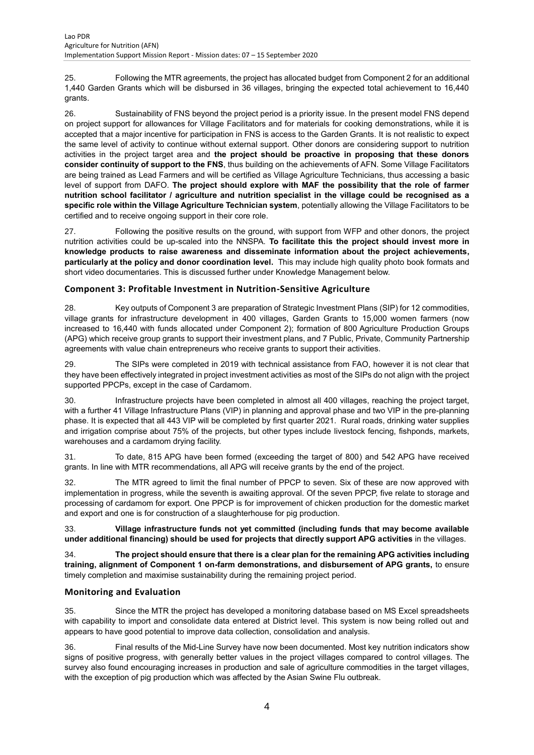25. Following the MTR agreements, the project has allocated budget from Component 2 for an additional 1,440 Garden Grants which will be disbursed in 36 villages, bringing the expected total achievement to 16,440 grants.

26. Sustainability of FNS beyond the project period is a priority issue. In the present model FNS depend on project support for allowances for Village Facilitators and for materials for cooking demonstrations, while it is accepted that a major incentive for participation in FNS is access to the Garden Grants. It is not realistic to expect the same level of activity to continue without external support. Other donors are considering support to nutrition activities in the project target area and **the project should be proactive in proposing that these donors consider continuity of support to the FNS**, thus building on the achievements of AFN. Some Village Facilitators are being trained as Lead Farmers and will be certified as Village Agriculture Technicians, thus accessing a basic level of support from DAFO. **The project should explore with MAF the possibility that the role of farmer nutrition school facilitator / agriculture and nutrition specialist in the village could be recognised as a specific role within the Village Agriculture Technician system**, potentially allowing the Village Facilitators to be certified and to receive ongoing support in their core role.

27. Following the positive results on the ground, with support from WFP and other donors, the project nutrition activities could be up-scaled into the NNSPA. **To facilitate this the project should invest more in knowledge products to raise awareness and disseminate information about the project achievements, particularly at the policy and donor coordination level.** This may include high quality photo book formats and short video documentaries. This is discussed further under Knowledge Management below.

#### **Component 3: Profitable Investment in Nutrition-Sensitive Agriculture**

28. Key outputs of Component 3 are preparation of Strategic Investment Plans (SIP) for 12 commodities, village grants for infrastructure development in 400 villages, Garden Grants to 15,000 women farmers (now increased to 16,440 with funds allocated under Component 2); formation of 800 Agriculture Production Groups (APG) which receive group grants to support their investment plans, and 7 Public, Private, Community Partnership agreements with value chain entrepreneurs who receive grants to support their activities.

29. The SIPs were completed in 2019 with technical assistance from FAO, however it is not clear that they have been effectively integrated in project investment activities as most of the SIPs do not align with the project supported PPCPs, except in the case of Cardamom.

30. Infrastructure projects have been completed in almost all 400 villages, reaching the project target, with a further 41 Village Infrastructure Plans (VIP) in planning and approval phase and two VIP in the pre-planning phase. It is expected that all 443 VIP will be completed by first quarter 2021. Rural roads, drinking water supplies and irrigation comprise about 75% of the projects, but other types include livestock fencing, fishponds, markets, warehouses and a cardamom drying facility.

31. To date, 815 APG have been formed (exceeding the target of 800) and 542 APG have received grants. In line with MTR recommendations, all APG will receive grants by the end of the project.

32. The MTR agreed to limit the final number of PPCP to seven. Six of these are now approved with implementation in progress, while the seventh is awaiting approval. Of the seven PPCP, five relate to storage and processing of cardamom for export. One PPCP is for improvement of chicken production for the domestic market and export and one is for construction of a slaughterhouse for pig production.

33. **Village infrastructure funds not yet committed (including funds that may become available under additional financing) should be used for projects that directly support APG activities** in the villages.

34. **The project should ensure that there is a clear plan for the remaining APG activities including training, alignment of Component 1 on-farm demonstrations, and disbursement of APG grants,** to ensure timely completion and maximise sustainability during the remaining project period.

#### **Monitoring and Evaluation**

35. Since the MTR the project has developed a monitoring database based on MS Excel spreadsheets with capability to import and consolidate data entered at District level. This system is now being rolled out and appears to have good potential to improve data collection, consolidation and analysis.

36. Final results of the Mid-Line Survey have now been documented. Most key nutrition indicators show signs of positive progress, with generally better values in the project villages compared to control villages. The survey also found encouraging increases in production and sale of agriculture commodities in the target villages, with the exception of pig production which was affected by the Asian Swine Flu outbreak.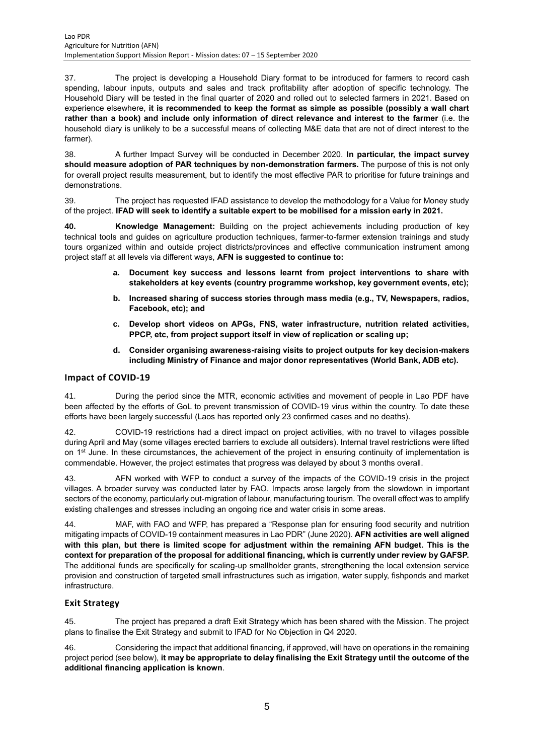37. The project is developing a Household Diary format to be introduced for farmers to record cash spending, labour inputs, outputs and sales and track profitability after adoption of specific technology. The Household Diary will be tested in the final quarter of 2020 and rolled out to selected farmers in 2021. Based on experience elsewhere, **it is recommended to keep the format as simple as possible (possibly a wall chart rather than a book) and include only information of direct relevance and interest to the farmer** (i.e. the household diary is unlikely to be a successful means of collecting M&E data that are not of direct interest to the farmer).

38. A further Impact Survey will be conducted in December 2020. **In particular, the impact survey should measure adoption of PAR techniques by non-demonstration farmers.** The purpose of this is not only for overall project results measurement, but to identify the most effective PAR to prioritise for future trainings and demonstrations.

39. The project has requested IFAD assistance to develop the methodology for a Value for Money study of the project. **IFAD will seek to identify a suitable expert to be mobilised for a mission early in 2021.**

**40. Knowledge Management:** Building on the project achievements including production of key technical tools and guides on agriculture production techniques, farmer-to-farmer extension trainings and study tours organized within and outside project districts/provinces and effective communication instrument among project staff at all levels via different ways, **AFN is suggested to continue to:** 

- **a. Document key success and lessons learnt from project interventions to share with stakeholders at key events (country programme workshop, key government events, etc);**
- **b. Increased sharing of success stories through mass media (e.g., TV, Newspapers, radios, Facebook, etc); and**
- **c. Develop short videos on APGs, FNS, water infrastructure, nutrition related activities, PPCP, etc, from project support itself in view of replication or scaling up;**
- **d. Consider organising awareness-raising visits to project outputs for key decision-makers including Ministry of Finance and major donor representatives (World Bank, ADB etc).**

#### **Impact of COVID-19**

41. During the period since the MTR, economic activities and movement of people in Lao PDF have been affected by the efforts of GoL to prevent transmission of COVID-19 virus within the country. To date these efforts have been largely successful (Laos has reported only 23 confirmed cases and no deaths).

42. COVID-19 restrictions had a direct impact on project activities, with no travel to villages possible during April and May (some villages erected barriers to exclude all outsiders). Internal travel restrictions were lifted on 1<sup>st</sup> June. In these circumstances, the achievement of the project in ensuring continuity of implementation is commendable. However, the project estimates that progress was delayed by about 3 months overall.

43. AFN worked with WFP to conduct a survey of the impacts of the COVID-19 crisis in the project villages. A broader survey was conducted later by FAO. Impacts arose largely from the slowdown in important sectors of the economy, particularly out-migration of labour, manufacturing tourism. The overall effect was to amplify existing challenges and stresses including an ongoing rice and water crisis in some areas.

44. MAF, with FAO and WFP, has prepared a "Response plan for ensuring food security and nutrition mitigating impacts of COVID-19 containment measures in Lao PDR" (June 2020). **AFN activities are well aligned with this plan, but there is limited scope for adjustment within the remaining AFN budget. This is the context for preparation of the proposal for additional financing, which is currently under review by GAFSP.** The additional funds are specifically for scaling-up smallholder grants, strengthening the local extension service provision and construction of targeted small infrastructures such as irrigation, water supply, fishponds and market infrastructure.

#### **Exit Strategy**

45. The project has prepared a draft Exit Strategy which has been shared with the Mission. The project plans to finalise the Exit Strategy and submit to IFAD for No Objection in Q4 2020.

46. Considering the impact that additional financing, if approved, will have on operations in the remaining project period (see below), **it may be appropriate to delay finalising the Exit Strategy until the outcome of the additional financing application is known**.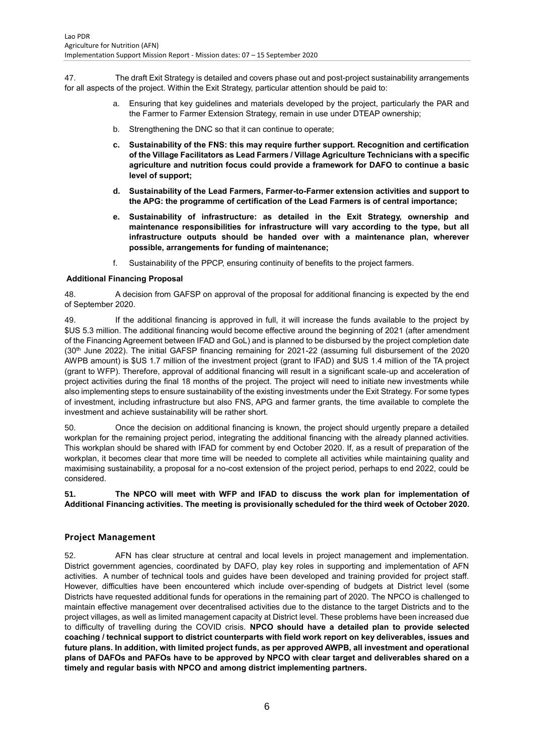47. The draft Exit Strategy is detailed and covers phase out and post-project sustainability arrangements for all aspects of the project. Within the Exit Strategy, particular attention should be paid to:

- a. Ensuring that key guidelines and materials developed by the project, particularly the PAR and the Farmer to Farmer Extension Strategy, remain in use under DTEAP ownership;
- b. Strengthening the DNC so that it can continue to operate;
- **c. Sustainability of the FNS: this may require further support. Recognition and certification of the Village Facilitators as Lead Farmers / Village Agriculture Technicians with a specific agriculture and nutrition focus could provide a framework for DAFO to continue a basic level of support;**
- **d. Sustainability of the Lead Farmers, Farmer-to-Farmer extension activities and support to the APG: the programme of certification of the Lead Farmers is of central importance;**
- **e. Sustainability of infrastructure: as detailed in the Exit Strategy, ownership and maintenance responsibilities for infrastructure will vary according to the type, but all infrastructure outputs should be handed over with a maintenance plan, wherever possible, arrangements for funding of maintenance;**
- f. Sustainability of the PPCP, ensuring continuity of benefits to the project farmers.

#### **Additional Financing Proposal**

48. A decision from GAFSP on approval of the proposal for additional financing is expected by the end of September 2020.

49. If the additional financing is approved in full, it will increase the funds available to the project by \$US 5.3 million. The additional financing would become effective around the beginning of 2021 (after amendment of the Financing Agreement between IFAD and GoL) and is planned to be disbursed by the project completion date (30<sup>th</sup> June 2022). The initial GAFSP financing remaining for 2021-22 (assuming full disbursement of the 2020 AWPB amount) is \$US 1.7 million of the investment project (grant to IFAD) and \$US 1.4 million of the TA project (grant to WFP). Therefore, approval of additional financing will result in a significant scale-up and acceleration of project activities during the final 18 months of the project. The project will need to initiate new investments while also implementing steps to ensure sustainability of the existing investments under the Exit Strategy. For some types of investment, including infrastructure but also FNS, APG and farmer grants, the time available to complete the investment and achieve sustainability will be rather short.

50. Once the decision on additional financing is known, the project should urgently prepare a detailed workplan for the remaining project period, integrating the additional financing with the already planned activities. This workplan should be shared with IFAD for comment by end October 2020. If, as a result of preparation of the workplan, it becomes clear that more time will be needed to complete all activities while maintaining quality and maximising sustainability, a proposal for a no-cost extension of the project period, perhaps to end 2022, could be considered.

**51. The NPCO will meet with WFP and IFAD to discuss the work plan for implementation of Additional Financing activities. The meeting is provisionally scheduled for the third week of October 2020.**

#### **Project Management**

52. AFN has clear structure at central and local levels in project management and implementation. District government agencies, coordinated by DAFO, play key roles in supporting and implementation of AFN activities. A number of technical tools and guides have been developed and training provided for project staff. However, difficulties have been encountered which include over-spending of budgets at District level (some Districts have requested additional funds for operations in the remaining part of 2020. The NPCO is challenged to maintain effective management over decentralised activities due to the distance to the target Districts and to the project villages, as well as limited management capacity at District level. These problems have been increased due to difficulty of travelling during the COVID crisis. **NPCO should have a detailed plan to provide selected coaching / technical support to district counterparts with field work report on key deliverables, issues and future plans. In addition, with limited project funds, as per approved AWPB, all investment and operational plans of DAFOs and PAFOs have to be approved by NPCO with clear target and deliverables shared on a timely and regular basis with NPCO and among district implementing partners.**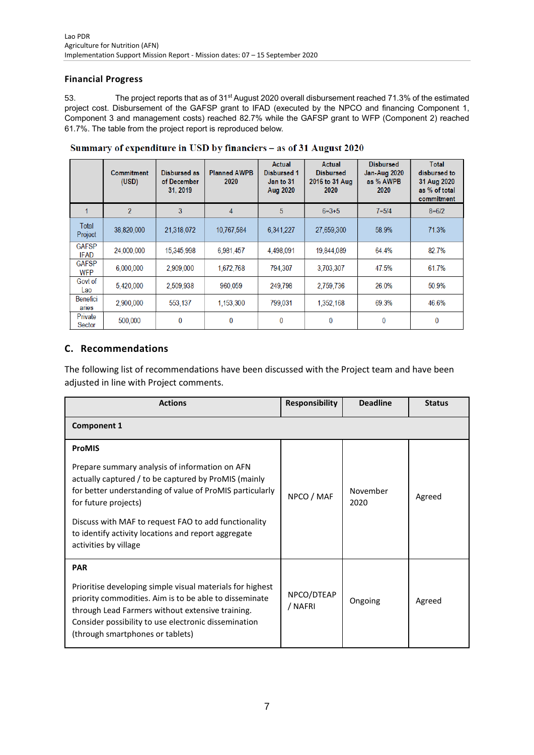## **Financial Progress**

53. The project reports that as of 31<sup>st</sup> August 2020 overall disbursement reached 71.3% of the estimated project cost. Disbursement of the GAFSP grant to IFAD (executed by the NPCO and financing Component 1, Component 3 and management costs) reached 82.7% while the GAFSP grant to WFP (Component 2) reached 61.7%. The table from the project report is reproduced below.

|                             | <b>Commitment</b><br>(USD) | Disbursed as<br>of December<br>31, 2019 | <b>Planned AWPB</b><br>2020 | Actual<br><b>Disbursed 1</b><br>Jan to 31<br>Aug 2020 | Actual<br><b>Disbursed</b><br>2016 to 31 Aug<br>2020 | <b>Disbursed</b><br><b>Jan-Aug 2020</b><br>as % AWPB<br>2020 | <b>Total</b><br>disbursed to<br>31 Aug 2020<br>as % of total<br>commitment |
|-----------------------------|----------------------------|-----------------------------------------|-----------------------------|-------------------------------------------------------|------------------------------------------------------|--------------------------------------------------------------|----------------------------------------------------------------------------|
|                             | $\mathfrak{p}$             | 3                                       | $\overline{4}$              | 5                                                     | $6=3+5$                                              | $7 = 5/4$                                                    | $8 = 6/2$                                                                  |
| Total<br>Project            | 38,820,000                 | 21,318,072                              | 10,767,584                  | 6,341,227                                             | 27,659,300                                           | 58.9%                                                        | 71.3%                                                                      |
| <b>GAFSP</b><br><b>IFAD</b> | 24,000,000                 | 15,345,998                              | 6,981,457                   | 4,498,091                                             | 19,844,089                                           | 64.4%                                                        | 82.7%                                                                      |
| <b>GAFSP</b><br><b>WFP</b>  | 6,000,000                  | 2,909,000                               | 1,672,768                   | 794.307                                               | 3,703,307                                            | 47.5%                                                        | 61.7%                                                                      |
| Govt of<br>Lao              | 5,420,000                  | 2,509,938                               | 960,059                     | 249,798                                               | 2,759,736                                            | 26.0%                                                        | 50.9%                                                                      |
| Benefici<br>aries           | 2,900,000                  | 553,137                                 | 1,153,300                   | 799,031                                               | 1,352,168                                            | 69.3%                                                        | 46.6%                                                                      |
| Private<br>Sector           | 500,000                    | 0                                       | $\bf{0}$                    | 0                                                     | 0                                                    | 0                                                            | 0                                                                          |

Summary of expenditure in USD by financiers - as of 31 August 2020

# **C. Recommendations**

The following list of recommendations have been discussed with the Project team and have been adjusted in line with Project comments.

| <b>Actions</b>                                                                                                                                                                                                                                                                                            | <b>Responsibility</b> | <b>Deadline</b>  | <b>Status</b> |
|-----------------------------------------------------------------------------------------------------------------------------------------------------------------------------------------------------------------------------------------------------------------------------------------------------------|-----------------------|------------------|---------------|
| <b>Component 1</b>                                                                                                                                                                                                                                                                                        |                       |                  |               |
| <b>ProMIS</b>                                                                                                                                                                                                                                                                                             |                       |                  |               |
| Prepare summary analysis of information on AFN<br>actually captured / to be captured by ProMIS (mainly<br>for better understanding of value of ProMIS particularly<br>for future projects)<br>Discuss with MAF to request FAO to add functionality<br>to identify activity locations and report aggregate | NPCO / MAF            | November<br>2020 | Agreed        |
| activities by village                                                                                                                                                                                                                                                                                     |                       |                  |               |
| <b>PAR</b>                                                                                                                                                                                                                                                                                                |                       |                  |               |
| Prioritise developing simple visual materials for highest<br>priority commodities. Aim is to be able to disseminate<br>through Lead Farmers without extensive training.<br>Consider possibility to use electronic dissemination<br>(through smartphones or tablets)                                       | NPCO/DTEAP<br>/ NAFRI | Ongoing          | Agreed        |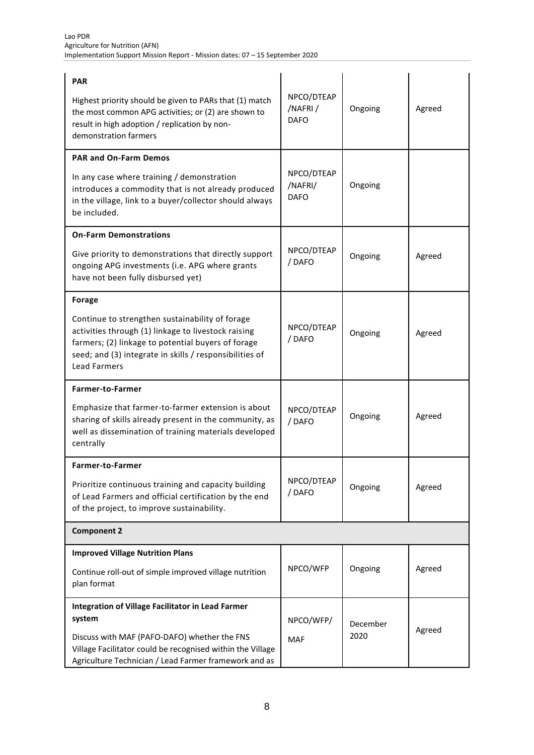| <b>PAR</b>                                                                                                                                                                                                                                     |                                      |          |        |
|------------------------------------------------------------------------------------------------------------------------------------------------------------------------------------------------------------------------------------------------|--------------------------------------|----------|--------|
| Highest priority should be given to PARs that (1) match<br>the most common APG activities; or (2) are shown to<br>result in high adoption / replication by non-<br>demonstration farmers                                                       | NPCO/DTEAP<br>/NAFRI/<br><b>DAFO</b> | Ongoing  | Agreed |
| <b>PAR and On-Farm Demos</b>                                                                                                                                                                                                                   |                                      |          |        |
| In any case where training / demonstration<br>introduces a commodity that is not already produced<br>in the village, link to a buyer/collector should always<br>be included.                                                                   | NPCO/DTEAP<br>/NAFRI/<br><b>DAFO</b> | Ongoing  |        |
| <b>On-Farm Demonstrations</b>                                                                                                                                                                                                                  |                                      |          |        |
| Give priority to demonstrations that directly support<br>ongoing APG investments (i.e. APG where grants<br>have not been fully disbursed yet)                                                                                                  | NPCO/DTEAP<br>/DAFO                  | Ongoing  | Agreed |
| <b>Forage</b>                                                                                                                                                                                                                                  |                                      |          |        |
| Continue to strengthen sustainability of forage<br>activities through (1) linkage to livestock raising<br>farmers; (2) linkage to potential buyers of forage<br>seed; and (3) integrate in skills / responsibilities of<br><b>Lead Farmers</b> | NPCO/DTEAP<br>/DAFO                  | Ongoing  | Agreed |
| Farmer-to-Farmer                                                                                                                                                                                                                               |                                      |          |        |
| Emphasize that farmer-to-farmer extension is about<br>sharing of skills already present in the community, as<br>well as dissemination of training materials developed<br>centrally                                                             | NPCO/DTEAP<br>/DAFO                  | Ongoing  | Agreed |
| Farmer-to-Farmer                                                                                                                                                                                                                               |                                      |          |        |
| Prioritize continuous training and capacity building<br>of Lead Farmers and official certification by the end<br>of the project, to improve sustainability.                                                                                    | NPCO/DTEAP<br>/DAFO                  | Ongoing  | Agreed |
| <b>Component 2</b>                                                                                                                                                                                                                             |                                      |          |        |
| <b>Improved Village Nutrition Plans</b>                                                                                                                                                                                                        |                                      |          |        |
| Continue roll-out of simple improved village nutrition<br>plan format                                                                                                                                                                          | NPCO/WFP                             | Ongoing  | Agreed |
| Integration of Village Facilitator in Lead Farmer                                                                                                                                                                                              |                                      |          |        |
| system                                                                                                                                                                                                                                         | NPCO/WFP/                            | December | Agreed |
| Discuss with MAF (PAFO-DAFO) whether the FNS<br>Village Facilitator could be recognised within the Village<br>Agriculture Technician / Lead Farmer framework and as                                                                            | <b>MAF</b>                           | 2020     |        |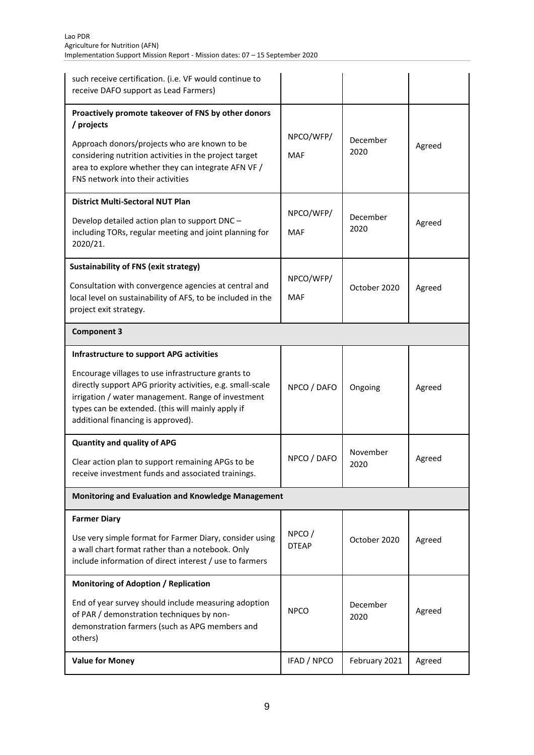| such receive certification. (i.e. VF would continue to<br>receive DAFO support as Lead Farmers)                                                                                                                                                                                                               |                         |                  |        |
|---------------------------------------------------------------------------------------------------------------------------------------------------------------------------------------------------------------------------------------------------------------------------------------------------------------|-------------------------|------------------|--------|
| Proactively promote takeover of FNS by other donors<br>/ projects<br>Approach donors/projects who are known to be<br>considering nutrition activities in the project target<br>area to explore whether they can integrate AFN VF /<br>FNS network into their activities                                       | NPCO/WFP/<br>MAF        | December<br>2020 | Agreed |
| <b>District Multi-Sectoral NUT Plan</b><br>Develop detailed action plan to support DNC -<br>including TORs, regular meeting and joint planning for<br>2020/21.                                                                                                                                                | NPCO/WFP/<br>MAF        | December<br>2020 | Agreed |
| <b>Sustainability of FNS (exit strategy)</b><br>Consultation with convergence agencies at central and<br>local level on sustainability of AFS, to be included in the<br>project exit strategy.                                                                                                                | NPCO/WFP/<br><b>MAF</b> | October 2020     | Agreed |
| <b>Component 3</b>                                                                                                                                                                                                                                                                                            |                         |                  |        |
| Infrastructure to support APG activities<br>Encourage villages to use infrastructure grants to<br>directly support APG priority activities, e.g. small-scale<br>irrigation / water management. Range of investment<br>types can be extended. (this will mainly apply if<br>additional financing is approved). | NPCO / DAFO             | Ongoing          | Agreed |
| <b>Quantity and quality of APG</b><br>Clear action plan to support remaining APGs to be<br>receive investment funds and associated trainings.                                                                                                                                                                 | NPCO / DAFO             | November<br>2020 | Agreed |
| Monitoring and Evaluation and Knowledge Management                                                                                                                                                                                                                                                            |                         |                  |        |
| <b>Farmer Diary</b><br>Use very simple format for Farmer Diary, consider using<br>a wall chart format rather than a notebook. Only<br>include information of direct interest / use to farmers                                                                                                                 | NPCO/<br><b>DTEAP</b>   | October 2020     | Agreed |
| <b>Monitoring of Adoption / Replication</b><br>End of year survey should include measuring adoption<br>of PAR / demonstration techniques by non-<br>demonstration farmers (such as APG members and<br>others)                                                                                                 | <b>NPCO</b>             | December<br>2020 | Agreed |
| <b>Value for Money</b>                                                                                                                                                                                                                                                                                        | IFAD / NPCO             | February 2021    | Agreed |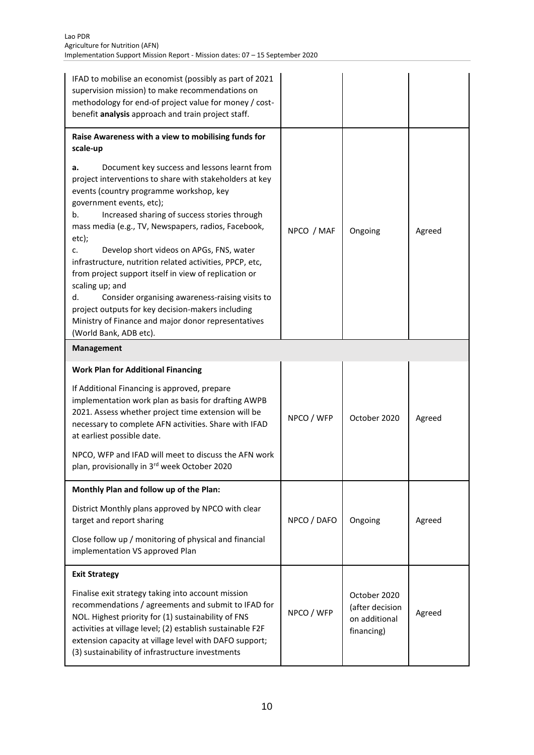| IFAD to mobilise an economist (possibly as part of 2021<br>supervision mission) to make recommendations on<br>methodology for end-of project value for money / cost-<br>benefit analysis approach and train project staff.                                                                                                                                                                                                                                                                                                                                                                                                                                                                                                                                             |             |                                                                |        |
|------------------------------------------------------------------------------------------------------------------------------------------------------------------------------------------------------------------------------------------------------------------------------------------------------------------------------------------------------------------------------------------------------------------------------------------------------------------------------------------------------------------------------------------------------------------------------------------------------------------------------------------------------------------------------------------------------------------------------------------------------------------------|-------------|----------------------------------------------------------------|--------|
| Raise Awareness with a view to mobilising funds for<br>scale-up<br>Document key success and lessons learnt from<br>a.<br>project interventions to share with stakeholders at key<br>events (country programme workshop, key<br>government events, etc);<br>Increased sharing of success stories through<br>b.<br>mass media (e.g., TV, Newspapers, radios, Facebook,<br>etc);<br>Develop short videos on APGs, FNS, water<br>c.<br>infrastructure, nutrition related activities, PPCP, etc,<br>from project support itself in view of replication or<br>scaling up; and<br>Consider organising awareness-raising visits to<br>d.<br>project outputs for key decision-makers including<br>Ministry of Finance and major donor representatives<br>(World Bank, ADB etc). | NPCO / MAF  | Ongoing                                                        | Agreed |
| <b>Management</b>                                                                                                                                                                                                                                                                                                                                                                                                                                                                                                                                                                                                                                                                                                                                                      |             |                                                                |        |
| <b>Work Plan for Additional Financing</b><br>If Additional Financing is approved, prepare<br>implementation work plan as basis for drafting AWPB<br>2021. Assess whether project time extension will be<br>necessary to complete AFN activities. Share with IFAD<br>at earliest possible date.<br>NPCO, WFP and IFAD will meet to discuss the AFN work<br>plan, provisionally in 3rd week October 2020                                                                                                                                                                                                                                                                                                                                                                 | NPCO / WFP  | October 2020                                                   | Agreed |
| Monthly Plan and follow up of the Plan:<br>District Monthly plans approved by NPCO with clear<br>target and report sharing<br>Close follow up / monitoring of physical and financial<br>implementation VS approved Plan                                                                                                                                                                                                                                                                                                                                                                                                                                                                                                                                                | NPCO / DAFO | Ongoing                                                        | Agreed |
| <b>Exit Strategy</b><br>Finalise exit strategy taking into account mission<br>recommendations / agreements and submit to IFAD for<br>NOL. Highest priority for (1) sustainability of FNS<br>activities at village level; (2) establish sustainable F2F<br>extension capacity at village level with DAFO support;<br>(3) sustainability of infrastructure investments                                                                                                                                                                                                                                                                                                                                                                                                   | NPCO / WFP  | October 2020<br>(after decision<br>on additional<br>financing) | Agreed |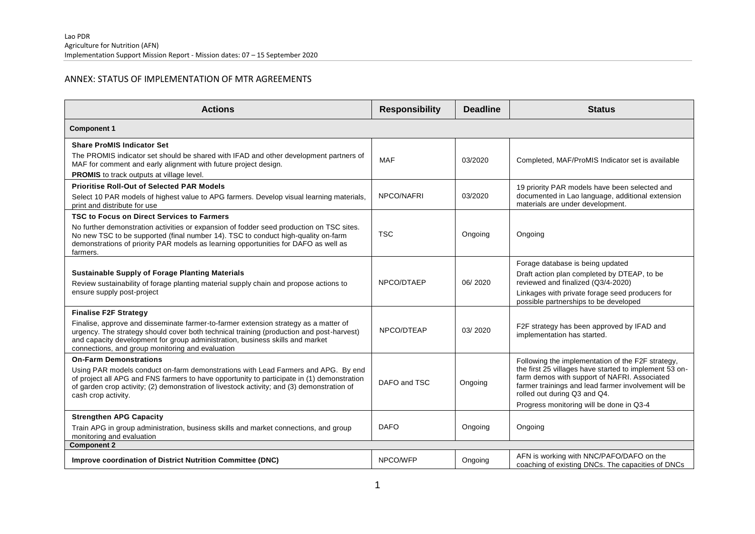## ANNEX: STATUS OF IMPLEMENTATION OF MTR AGREEMENTS

| <b>Actions</b>                                                                                                                                                                                                                                                                                                                                        | <b>Responsibility</b> | <b>Deadline</b> | <b>Status</b>                                                                                                                                                                                                                                                                                   |
|-------------------------------------------------------------------------------------------------------------------------------------------------------------------------------------------------------------------------------------------------------------------------------------------------------------------------------------------------------|-----------------------|-----------------|-------------------------------------------------------------------------------------------------------------------------------------------------------------------------------------------------------------------------------------------------------------------------------------------------|
| <b>Component 1</b>                                                                                                                                                                                                                                                                                                                                    |                       |                 |                                                                                                                                                                                                                                                                                                 |
| <b>Share ProMIS Indicator Set</b><br>The PROMIS indicator set should be shared with IFAD and other development partners of<br>MAF for comment and early alignment with future project design.<br><b>PROMIS</b> to track outputs at village level.                                                                                                     | <b>MAF</b>            | 03/2020         | Completed, MAF/ProMIS Indicator set is available                                                                                                                                                                                                                                                |
| <b>Prioritise Roll-Out of Selected PAR Models</b><br>Select 10 PAR models of highest value to APG farmers. Develop visual learning materials,<br>print and distribute for use                                                                                                                                                                         | NPCO/NAFRI            | 03/2020         | 19 priority PAR models have been selected and<br>documented in Lao language, additional extension<br>materials are under development.                                                                                                                                                           |
| TSC to Focus on Direct Services to Farmers<br>No further demonstration activities or expansion of fodder seed production on TSC sites.<br>No new TSC to be supported (final number 14). TSC to conduct high-quality on-farm<br>demonstrations of priority PAR models as learning opportunities for DAFO as well as<br>farmers.                        | <b>TSC</b>            | Ongoing         | Ongoing                                                                                                                                                                                                                                                                                         |
| <b>Sustainable Supply of Forage Planting Materials</b><br>Review sustainability of forage planting material supply chain and propose actions to<br>ensure supply post-project                                                                                                                                                                         | NPCO/DTAEP            | 06/2020         | Forage database is being updated<br>Draft action plan completed by DTEAP, to be<br>reviewed and finalized (Q3/4-2020)<br>Linkages with private forage seed producers for<br>possible partnerships to be developed                                                                               |
| <b>Finalise F2F Strategy</b><br>Finalise, approve and disseminate farmer-to-farmer extension strategy as a matter of<br>urgency. The strategy should cover both technical training (production and post-harvest)<br>and capacity development for group administration, business skills and market<br>connections, and group monitoring and evaluation | NPCO/DTEAP            | 03/2020         | F2F strategy has been approved by IFAD and<br>implementation has started.                                                                                                                                                                                                                       |
| <b>On-Farm Demonstrations</b><br>Using PAR models conduct on-farm demonstrations with Lead Farmers and APG. By end<br>of project all APG and FNS farmers to have opportunity to participate in (1) demonstration<br>of garden crop activity; (2) demonstration of livestock activity; and (3) demonstration of<br>cash crop activity.                 | DAFO and TSC          | Ongoing         | Following the implementation of the F2F strategy,<br>the first 25 villages have started to implement 53 on-<br>farm demos with support of NAFRI. Associated<br>farmer trainings and lead farmer involvement will be<br>rolled out during Q3 and Q4.<br>Progress monitoring will be done in Q3-4 |
| <b>Strengthen APG Capacity</b><br>Train APG in group administration, business skills and market connections, and group<br>monitoring and evaluation                                                                                                                                                                                                   | <b>DAFO</b>           | Ongoing         | Ongoing                                                                                                                                                                                                                                                                                         |
| <b>Component 2</b>                                                                                                                                                                                                                                                                                                                                    |                       |                 |                                                                                                                                                                                                                                                                                                 |
| Improve coordination of District Nutrition Committee (DNC)                                                                                                                                                                                                                                                                                            | NPCO/WFP              | Ongoing         | AFN is working with NNC/PAFO/DAFO on the<br>coaching of existing DNCs. The capacities of DNCs                                                                                                                                                                                                   |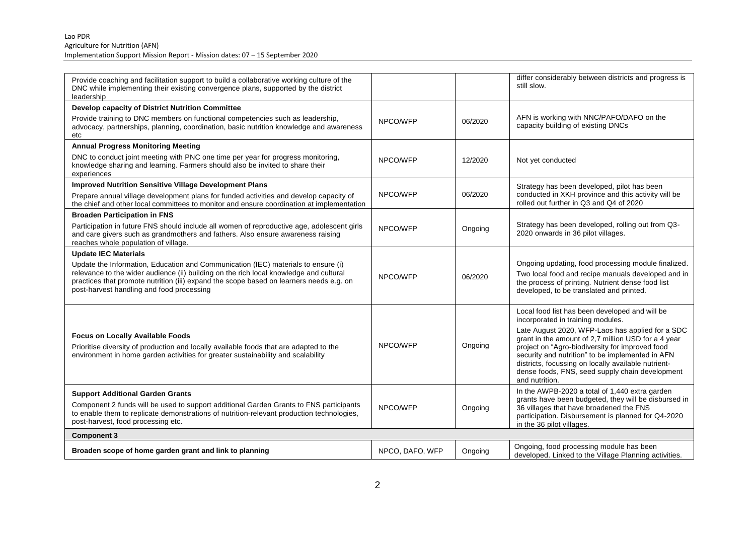| Provide coaching and facilitation support to build a collaborative working culture of the<br>DNC while implementing their existing convergence plans, supported by the district<br>leadership                                                                                                                       |                 |         | differ considerably between districts and progress is<br>still slow.                                                                                                                                                                                                                                                                                                                                                              |
|---------------------------------------------------------------------------------------------------------------------------------------------------------------------------------------------------------------------------------------------------------------------------------------------------------------------|-----------------|---------|-----------------------------------------------------------------------------------------------------------------------------------------------------------------------------------------------------------------------------------------------------------------------------------------------------------------------------------------------------------------------------------------------------------------------------------|
| <b>Develop capacity of District Nutrition Committee</b>                                                                                                                                                                                                                                                             |                 |         |                                                                                                                                                                                                                                                                                                                                                                                                                                   |
| Provide training to DNC members on functional competencies such as leadership,<br>advocacy, partnerships, planning, coordination, basic nutrition knowledge and awareness<br>etc                                                                                                                                    | NPCO/WFP        | 06/2020 | AFN is working with NNC/PAFO/DAFO on the<br>capacity building of existing DNCs                                                                                                                                                                                                                                                                                                                                                    |
| <b>Annual Progress Monitoring Meeting</b>                                                                                                                                                                                                                                                                           |                 |         |                                                                                                                                                                                                                                                                                                                                                                                                                                   |
| DNC to conduct joint meeting with PNC one time per year for progress monitoring,<br>knowledge sharing and learning. Farmers should also be invited to share their<br>experiences                                                                                                                                    | NPCO/WFP        | 12/2020 | Not yet conducted                                                                                                                                                                                                                                                                                                                                                                                                                 |
| <b>Improved Nutrition Sensitive Village Development Plans</b>                                                                                                                                                                                                                                                       |                 |         | Strategy has been developed, pilot has been                                                                                                                                                                                                                                                                                                                                                                                       |
| Prepare annual village development plans for funded activities and develop capacity of<br>the chief and other local committees to monitor and ensure coordination at implementation                                                                                                                                 | NPCO/WFP        | 06/2020 | conducted in XKH province and this activity will be<br>rolled out further in Q3 and Q4 of 2020                                                                                                                                                                                                                                                                                                                                    |
| <b>Broaden Participation in FNS</b>                                                                                                                                                                                                                                                                                 |                 |         |                                                                                                                                                                                                                                                                                                                                                                                                                                   |
| Participation in future FNS should include all women of reproductive age, adolescent girls<br>and care givers such as grandmothers and fathers. Also ensure awareness raising<br>reaches whole population of village.                                                                                               | NPCO/WFP        | Ongoing | Strategy has been developed, rolling out from Q3-<br>2020 onwards in 36 pilot villages.                                                                                                                                                                                                                                                                                                                                           |
| <b>Update IEC Materials</b>                                                                                                                                                                                                                                                                                         |                 |         |                                                                                                                                                                                                                                                                                                                                                                                                                                   |
| Update the Information, Education and Communication (IEC) materials to ensure (i)<br>relevance to the wider audience (ii) building on the rich local knowledge and cultural<br>practices that promote nutrition (iii) expand the scope based on learners needs e.g. on<br>post-harvest handling and food processing | NPCO/WFP        | 06/2020 | Ongoing updating, food processing module finalized.<br>Two local food and recipe manuals developed and in<br>the process of printing. Nutrient dense food list<br>developed, to be translated and printed.                                                                                                                                                                                                                        |
| <b>Focus on Locally Available Foods</b><br>Prioritise diversity of production and locally available foods that are adapted to the<br>environment in home garden activities for greater sustainability and scalability                                                                                               | NPCO/WFP        | Ongoing | Local food list has been developed and will be<br>incorporated in training modules.<br>Late August 2020, WFP-Laos has applied for a SDC<br>grant in the amount of 2,7 million USD for a 4 year<br>project on "Agro-biodiversity for improved food<br>security and nutrition" to be implemented in AFN<br>districts, focussing on locally available nutrient-<br>dense foods, FNS, seed supply chain development<br>and nutrition. |
| <b>Support Additional Garden Grants</b>                                                                                                                                                                                                                                                                             |                 |         | In the AWPB-2020 a total of 1,440 extra garden                                                                                                                                                                                                                                                                                                                                                                                    |
| Component 2 funds will be used to support additional Garden Grants to FNS participants<br>to enable them to replicate demonstrations of nutrition-relevant production technologies,<br>post-harvest, food processing etc.                                                                                           | NPCO/WFP        | Ongoing | grants have been budgeted, they will be disbursed in<br>36 villages that have broadened the FNS<br>participation. Disbursement is planned for Q4-2020<br>in the 36 pilot villages.                                                                                                                                                                                                                                                |
| <b>Component 3</b>                                                                                                                                                                                                                                                                                                  |                 |         |                                                                                                                                                                                                                                                                                                                                                                                                                                   |
| Broaden scope of home garden grant and link to planning                                                                                                                                                                                                                                                             | NPCO, DAFO, WFP | Ongoing | Ongoing, food processing module has been<br>developed. Linked to the Village Planning activities.                                                                                                                                                                                                                                                                                                                                 |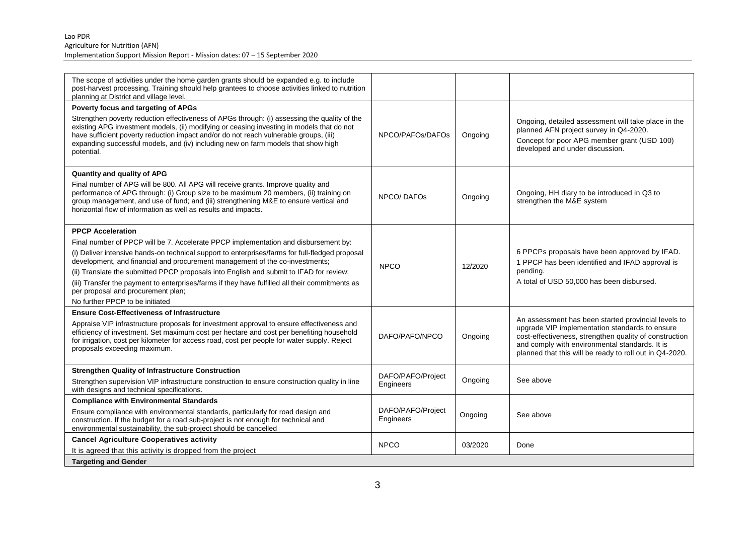| The scope of activities under the home garden grants should be expanded e.g. to include<br>post-harvest processing. Training should help grantees to choose activities linked to nutrition<br>planning at District and village level.                                                                                                                                                 |                                |         |                                                                                                                                                                                                                       |
|---------------------------------------------------------------------------------------------------------------------------------------------------------------------------------------------------------------------------------------------------------------------------------------------------------------------------------------------------------------------------------------|--------------------------------|---------|-----------------------------------------------------------------------------------------------------------------------------------------------------------------------------------------------------------------------|
| Poverty focus and targeting of APGs                                                                                                                                                                                                                                                                                                                                                   |                                |         |                                                                                                                                                                                                                       |
| Strengthen poverty reduction effectiveness of APGs through: (i) assessing the quality of the<br>existing APG investment models, (ii) modifying or ceasing investing in models that do not<br>have sufficient poverty reduction impact and/or do not reach vulnerable groups, (iii)<br>expanding successful models, and (iv) including new on farm models that show high<br>potential. | NPCO/PAFOs/DAFOs               | Ongoing | Ongoing, detailed assessment will take place in the<br>planned AFN project survey in Q4-2020.<br>Concept for poor APG member grant (USD 100)<br>developed and under discussion.                                       |
| <b>Quantity and quality of APG</b>                                                                                                                                                                                                                                                                                                                                                    |                                |         |                                                                                                                                                                                                                       |
| Final number of APG will be 800. All APG will receive grants. Improve quality and<br>performance of APG through: (i) Group size to be maximum 20 members, (ii) training on<br>group management, and use of fund; and (iii) strengthening M&E to ensure vertical and<br>horizontal flow of information as well as results and impacts.                                                 | NPCO/DAFOS                     | Ongoing | Ongoing, HH diary to be introduced in Q3 to<br>strengthen the M&E system                                                                                                                                              |
| <b>PPCP Acceleration</b>                                                                                                                                                                                                                                                                                                                                                              |                                |         |                                                                                                                                                                                                                       |
| Final number of PPCP will be 7. Accelerate PPCP implementation and disbursement by:                                                                                                                                                                                                                                                                                                   |                                |         |                                                                                                                                                                                                                       |
| (i) Deliver intensive hands-on technical support to enterprises/farms for full-fledged proposal<br>development, and financial and procurement management of the co-investments;<br>(ii) Translate the submitted PPCP proposals into English and submit to IFAD for review;                                                                                                            | <b>NPCO</b>                    | 12/2020 | 6 PPCPs proposals have been approved by IFAD.<br>1 PPCP has been identified and IFAD approval is<br>pending.                                                                                                          |
| (iii) Transfer the payment to enterprises/farms if they have fulfilled all their commitments as<br>per proposal and procurement plan;                                                                                                                                                                                                                                                 |                                |         | A total of USD 50,000 has been disbursed.                                                                                                                                                                             |
| No further PPCP to be initiated                                                                                                                                                                                                                                                                                                                                                       |                                |         |                                                                                                                                                                                                                       |
| <b>Ensure Cost-Effectiveness of Infrastructure</b>                                                                                                                                                                                                                                                                                                                                    |                                |         | An assessment has been started provincial levels to                                                                                                                                                                   |
| Appraise VIP infrastructure proposals for investment approval to ensure effectiveness and<br>efficiency of investment. Set maximum cost per hectare and cost per benefiting household<br>for irrigation, cost per kilometer for access road, cost per people for water supply. Reject<br>proposals exceeding maximum.                                                                 | DAFO/PAFO/NPCO                 | Ongoing | upgrade VIP implementation standards to ensure<br>cost-effectiveness, strengthen quality of construction<br>and comply with environmental standards. It is<br>planned that this will be ready to roll out in Q4-2020. |
| <b>Strengthen Quality of Infrastructure Construction</b>                                                                                                                                                                                                                                                                                                                              |                                |         |                                                                                                                                                                                                                       |
| Strengthen supervision VIP infrastructure construction to ensure construction quality in line<br>with designs and technical specifications.                                                                                                                                                                                                                                           | DAFO/PAFO/Project<br>Engineers | Ongoing | See above                                                                                                                                                                                                             |
| <b>Compliance with Environmental Standards</b>                                                                                                                                                                                                                                                                                                                                        |                                |         |                                                                                                                                                                                                                       |
| Ensure compliance with environmental standards, particularly for road design and<br>construction. If the budget for a road sub-project is not enough for technical and<br>environmental sustainability, the sub-project should be cancelled                                                                                                                                           | DAFO/PAFO/Project<br>Engineers | Ongoing | See above                                                                                                                                                                                                             |
| <b>Cancel Agriculture Cooperatives activity</b>                                                                                                                                                                                                                                                                                                                                       |                                |         |                                                                                                                                                                                                                       |
| It is agreed that this activity is dropped from the project                                                                                                                                                                                                                                                                                                                           | <b>NPCO</b>                    | 03/2020 | Done                                                                                                                                                                                                                  |
| <b>Targeting and Gender</b>                                                                                                                                                                                                                                                                                                                                                           |                                |         |                                                                                                                                                                                                                       |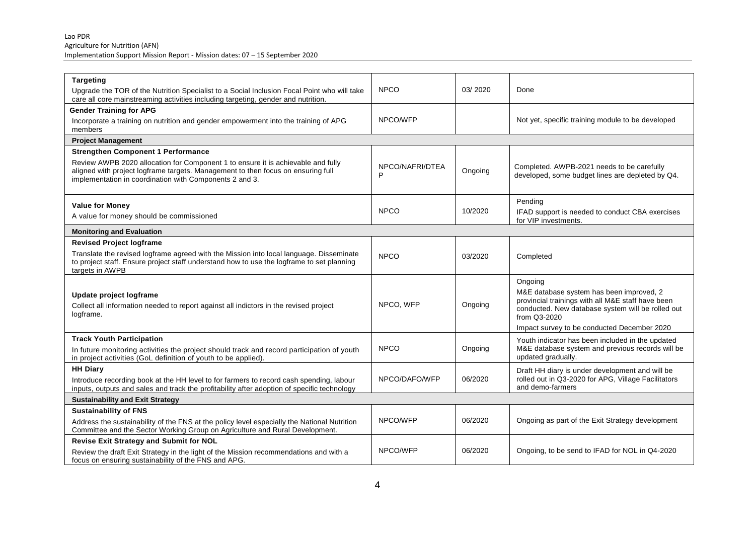| <b>Targeting</b><br>Upgrade the TOR of the Nutrition Specialist to a Social Inclusion Focal Point who will take<br>care all core mainstreaming activities including targeting, gender and nutrition.                            | <b>NPCO</b>          | 03/2020 | Done                                                                                                                                                                                                                         |
|---------------------------------------------------------------------------------------------------------------------------------------------------------------------------------------------------------------------------------|----------------------|---------|------------------------------------------------------------------------------------------------------------------------------------------------------------------------------------------------------------------------------|
| <b>Gender Training for APG</b>                                                                                                                                                                                                  |                      |         |                                                                                                                                                                                                                              |
| Incorporate a training on nutrition and gender empowerment into the training of APG<br>members                                                                                                                                  | NPCO/WFP             |         | Not yet, specific training module to be developed                                                                                                                                                                            |
| <b>Project Management</b>                                                                                                                                                                                                       |                      |         |                                                                                                                                                                                                                              |
| <b>Strengthen Component 1 Performance</b>                                                                                                                                                                                       |                      |         |                                                                                                                                                                                                                              |
| Review AWPB 2020 allocation for Component 1 to ensure it is achievable and fully<br>aligned with project logframe targets. Management to then focus on ensuring full<br>implementation in coordination with Components 2 and 3. | NPCO/NAFRI/DTEA<br>P | Ongoing | Completed. AWPB-2021 needs to be carefully<br>developed, some budget lines are depleted by Q4.                                                                                                                               |
|                                                                                                                                                                                                                                 |                      |         | Pending                                                                                                                                                                                                                      |
| <b>Value for Money</b><br>A value for money should be commissioned                                                                                                                                                              | <b>NPCO</b>          | 10/2020 | IFAD support is needed to conduct CBA exercises<br>for VIP investments.                                                                                                                                                      |
| <b>Monitoring and Evaluation</b>                                                                                                                                                                                                |                      |         |                                                                                                                                                                                                                              |
| <b>Revised Project logframe</b>                                                                                                                                                                                                 |                      |         |                                                                                                                                                                                                                              |
| Translate the revised logframe agreed with the Mission into local language. Disseminate<br>to project staff. Ensure project staff understand how to use the logframe to set planning<br>targets in AWPB                         | <b>NPCO</b>          | 03/2020 | Completed                                                                                                                                                                                                                    |
| Update project logframe<br>Collect all information needed to report against all indictors in the revised project<br>logframe.                                                                                                   | NPCO, WFP            | Ongoing | Ongoing<br>M&E database system has been improved, 2<br>provincial trainings with all M&E staff have been<br>conducted. New database system will be rolled out<br>from Q3-2020<br>Impact survey to be conducted December 2020 |
| <b>Track Youth Participation</b>                                                                                                                                                                                                |                      |         | Youth indicator has been included in the updated                                                                                                                                                                             |
| In future monitoring activities the project should track and record participation of youth<br>in project activities (GoL definition of youth to be applied).                                                                    | <b>NPCO</b>          | Ongoing | M&E database system and previous records will be<br>updated gradually.                                                                                                                                                       |
| <b>HH Diary</b>                                                                                                                                                                                                                 |                      |         | Draft HH diary is under development and will be                                                                                                                                                                              |
| Introduce recording book at the HH level to for farmers to record cash spending, labour<br>inputs, outputs and sales and track the profitability after adoption of specific technology                                          | NPCO/DAFO/WFP        | 06/2020 | rolled out in Q3-2020 for APG, Village Facilitators<br>and demo-farmers                                                                                                                                                      |
| <b>Sustainability and Exit Strategy</b>                                                                                                                                                                                         |                      |         |                                                                                                                                                                                                                              |
| <b>Sustainability of FNS</b>                                                                                                                                                                                                    |                      |         |                                                                                                                                                                                                                              |
| Address the sustainability of the FNS at the policy level especially the National Nutrition<br>Committee and the Sector Working Group on Agriculture and Rural Development.                                                     | NPCO/WFP             | 06/2020 | Ongoing as part of the Exit Strategy development                                                                                                                                                                             |
| <b>Revise Exit Strategy and Submit for NOL</b>                                                                                                                                                                                  |                      |         |                                                                                                                                                                                                                              |
| Review the draft Exit Strategy in the light of the Mission recommendations and with a<br>focus on ensuring sustainability of the FNS and APG.                                                                                   | NPCO/WFP             | 06/2020 | Ongoing, to be send to IFAD for NOL in Q4-2020                                                                                                                                                                               |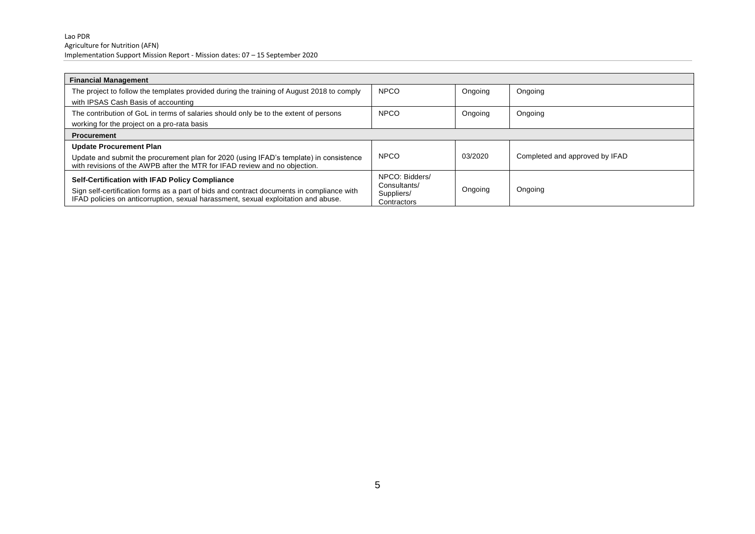| <b>Financial Management</b>                                                                                                                                                     |                                |         |                                |
|---------------------------------------------------------------------------------------------------------------------------------------------------------------------------------|--------------------------------|---------|--------------------------------|
| The project to follow the templates provided during the training of August 2018 to comply                                                                                       | <b>NPCO</b>                    | Ongoing | Ongoing                        |
| with IPSAS Cash Basis of accounting                                                                                                                                             |                                |         |                                |
| The contribution of GoL in terms of salaries should only be to the extent of persons                                                                                            | <b>NPCO</b>                    | Ongoing | Ongoing                        |
| working for the project on a pro-rata basis                                                                                                                                     |                                |         |                                |
| <b>Procurement</b>                                                                                                                                                              |                                |         |                                |
| <b>Update Procurement Plan</b>                                                                                                                                                  |                                |         |                                |
| Update and submit the procurement plan for 2020 (using IFAD's template) in consistence<br>with revisions of the AWPB after the MTR for IFAD review and no objection.            | <b>NPCO</b>                    | 03/2020 | Completed and approved by IFAD |
| Self-Certification with IFAD Policy Compliance                                                                                                                                  | NPCO: Bidders/<br>Consultants/ |         |                                |
| Sign self-certification forms as a part of bids and contract documents in compliance with<br>IFAD policies on anticorruption, sexual harassment, sexual exploitation and abuse. | Suppliers/<br>Contractors      | Ongoing | Ongoing                        |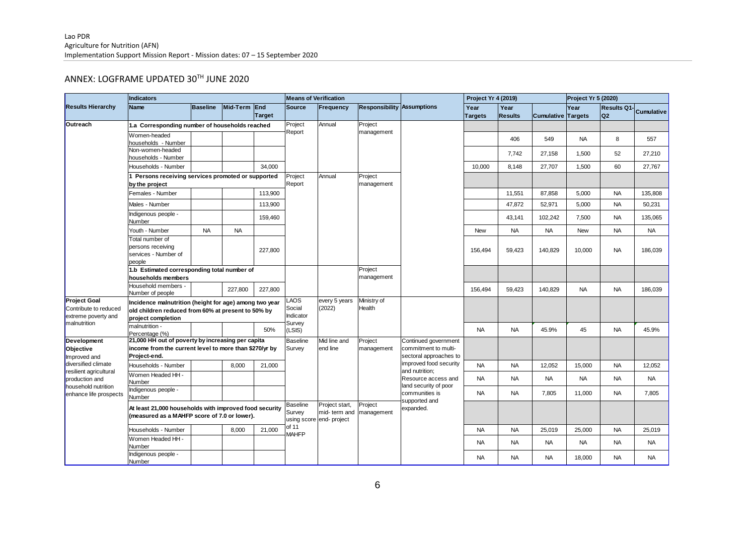# ANNEX: LOGFRAME UPDATED 30TH JUNE 2020

| Agriculture for Nutrition (AFN)                              |                                                                                                                             |                                                |                              |                         |                       |                          |                                   |                                                                                                            |            |                     |                   |                |             |                   |
|--------------------------------------------------------------|-----------------------------------------------------------------------------------------------------------------------------|------------------------------------------------|------------------------------|-------------------------|-----------------------|--------------------------|-----------------------------------|------------------------------------------------------------------------------------------------------------|------------|---------------------|-------------------|----------------|-------------|-------------------|
|                                                              | Implementation Support Mission Report - Mission dates: 07 - 15 September 2020                                               |                                                |                              |                         |                       |                          |                                   |                                                                                                            |            |                     |                   |                |             |                   |
|                                                              |                                                                                                                             |                                                |                              |                         |                       |                          |                                   |                                                                                                            |            |                     |                   |                |             |                   |
|                                                              | ANNEX: LOGFRAME UPDATED 30TH JUNE 2020                                                                                      |                                                |                              |                         |                       |                          |                                   |                                                                                                            |            |                     |                   |                |             |                   |
|                                                              |                                                                                                                             |                                                |                              |                         |                       |                          |                                   |                                                                                                            |            |                     |                   |                |             |                   |
| <b>Results Hierarchy</b>                                     | <b>Indicators</b>                                                                                                           |                                                | <b>Means of Verification</b> |                         |                       |                          | Project Yr 4 (2019)               |                                                                                                            |            | Project Yr 5 (2020) |                   |                |             |                   |
|                                                              | Name                                                                                                                        | <b>Baseline</b>                                | Mid-Term End                 |                         | Source                | Frequency                | <b>Responsibility Assumptions</b> |                                                                                                            | Year       | Year                |                   | Year           | Results Q1- | <b>Cumulative</b> |
|                                                              |                                                                                                                             |                                                |                              | <b>Target</b>           | Project               | Annual                   |                                   |                                                                                                            | Targets    | <b>Results</b>      | <b>Cumulative</b> | <b>Targets</b> | Q2          |                   |
| Outreach                                                     |                                                                                                                             | 1.a Corresponding number of households reached |                              |                         |                       |                          | Project<br>management             |                                                                                                            |            |                     |                   |                |             |                   |
|                                                              | Women-headed<br>households - Number                                                                                         |                                                |                              |                         | Report                |                          |                                   |                                                                                                            |            | 406                 | 549               | <b>NA</b>      | 8           | 557               |
|                                                              | Non-women-headed                                                                                                            |                                                |                              |                         |                       |                          |                                   |                                                                                                            |            |                     |                   |                |             |                   |
|                                                              | households - Number                                                                                                         |                                                |                              |                         |                       |                          |                                   |                                                                                                            |            | 7,742               | 27,158            | 1,500          | 52          | 27,210            |
|                                                              | Households - Number                                                                                                         |                                                |                              | 34.000                  |                       |                          |                                   |                                                                                                            | 10.000     | 8.148               | 27,707            | 1,500          | 60          | 27,767            |
|                                                              | 1 Persons receiving services promoted or supported<br>by the project                                                        |                                                | Project<br>Report            | Annual                  | Project<br>management |                          |                                   |                                                                                                            |            |                     |                   |                |             |                   |
|                                                              | Females - Number                                                                                                            |                                                |                              | 113,900                 |                       |                          |                                   |                                                                                                            |            | 11,551              | 87,858            | 5,000          | <b>NA</b>   | 135,808           |
|                                                              | Males - Number                                                                                                              |                                                |                              | 113,900                 |                       |                          |                                   |                                                                                                            |            | 47,872              | 52,971            | 5,000          | <b>NA</b>   | 50,231            |
|                                                              | Indigenous people -<br>Number                                                                                               |                                                |                              | 159,460                 |                       |                          |                                   |                                                                                                            |            | 43,141              | 102,242           | 7,500          | <b>NA</b>   | 135,065           |
|                                                              | Youth - Number                                                                                                              | <b>NA</b>                                      | <b>NA</b>                    |                         |                       |                          |                                   |                                                                                                            | <b>New</b> | <b>NA</b>           | <b>NA</b>         | <b>New</b>     | <b>NA</b>   | NA                |
|                                                              | Total number of                                                                                                             |                                                |                              |                         |                       |                          |                                   |                                                                                                            |            |                     |                   |                |             |                   |
|                                                              | persons receiving                                                                                                           |                                                |                              | 227,800                 |                       |                          |                                   |                                                                                                            | 156,494    | 59,423              | 140,829           | 10,000         | <b>NA</b>   | 186,039           |
|                                                              | services - Number of<br>people                                                                                              |                                                |                              |                         |                       |                          |                                   |                                                                                                            |            |                     |                   |                |             |                   |
|                                                              | 1.b Estimated corresponding total number of                                                                                 |                                                |                              |                         |                       |                          | Project                           |                                                                                                            |            |                     |                   |                |             |                   |
|                                                              | households members                                                                                                          |                                                |                              |                         |                       |                          | management                        |                                                                                                            |            |                     |                   |                |             |                   |
|                                                              | Household members -<br>Number of people                                                                                     |                                                | 227,800                      | 227,800                 |                       |                          |                                   |                                                                                                            | 156,494    | 59,423              | 140,829           | <b>NA</b>      | <b>NA</b>   | 186,039           |
| <b>Project Goal</b>                                          | Incidence malnutrition (height for age) among two year                                                                      |                                                | <b>AOS</b>                   | every 5 years<br>(2022) | Ministry of<br>Health |                          |                                   |                                                                                                            |            |                     |                   |                |             |                   |
| Contribute to reduced<br>extreme poverty and<br>malnutrition | old children reduced from 60% at present to 50% by                                                                          |                                                | Social<br>Indicator          |                         |                       |                          |                                   |                                                                                                            |            |                     |                   |                |             |                   |
|                                                              | project completion<br>malnutrition -                                                                                        |                                                |                              |                         | Survey                |                          |                                   |                                                                                                            |            |                     |                   |                |             |                   |
|                                                              | Percentage (%)                                                                                                              |                                                |                              | 50%                     | (LSIS)                |                          |                                   |                                                                                                            | <b>NA</b>  | <b>NA</b>           | 45.9%             | 45             | <b>NA</b>   | 45.9%             |
| Development                                                  | 21,000 HH out of poverty by increasing per capita<br>income from the current level to more than \$270/yr by<br>Project-end. |                                                |                              |                         | <b>Baseline</b>       | Mid line and<br>end line | Project<br>management             | Continued government                                                                                       |            |                     |                   |                |             |                   |
| Objective<br>Improved and                                    |                                                                                                                             |                                                |                              |                         | Survey                |                          |                                   | commitment to multi-<br>sectoral approaches to                                                             |            |                     |                   |                |             |                   |
| diversified climate                                          | Households - Number                                                                                                         |                                                | 8,000                        | 21,000                  |                       |                          |                                   | improved food security<br>and nutrition;<br>Resource access and<br>land security of poor<br>communities is | <b>NA</b>  | <b>NA</b>           | 12,052            | 15,000         | <b>NA</b>   | 12,052            |
| resilient agricultural                                       | Women Headed HH                                                                                                             |                                                |                              |                         |                       |                          |                                   |                                                                                                            |            |                     |                   |                |             |                   |
| production and<br>household nutrition                        | Number                                                                                                                      |                                                |                              |                         |                       |                          |                                   |                                                                                                            | <b>NA</b>  | <b>NA</b>           | <b>NA</b>         | <b>NA</b>      | <b>NA</b>   | <b>NA</b>         |
| enhance life prospects                                       | Indigenous people -<br>Number                                                                                               |                                                |                              |                         |                       |                          |                                   |                                                                                                            | <b>NA</b>  | <b>NA</b>           | 7,805             | 11,000         | <b>NA</b>   | 7,805             |
|                                                              |                                                                                                                             |                                                | <b>Baseline</b>              | Project start,          | Project               | supported and            |                                   |                                                                                                            |            |                     |                   |                |             |                   |
|                                                              | At least 21,000 households with improved food security<br>(measured as a MAHFP score of 7.0 or lower).                      |                                                |                              |                         | Survey                | mid- term and            | management                        | expanded.                                                                                                  |            |                     |                   |                |             |                   |
|                                                              |                                                                                                                             |                                                |                              |                         | of 11                 | using score end- project |                                   |                                                                                                            |            |                     |                   |                |             |                   |
|                                                              | Households - Number<br>Women Headed HH -                                                                                    |                                                | 8,000                        | 21,000                  | <b>MAHFP</b>          |                          |                                   |                                                                                                            | <b>NA</b>  | <b>NA</b>           | 25,019            | 25,000         | <b>NA</b>   | 25,019            |
|                                                              | Number                                                                                                                      |                                                |                              |                         |                       |                          |                                   |                                                                                                            | <b>NA</b>  | <b>NA</b>           | <b>NA</b>         | <b>NA</b>      | <b>NA</b>   | <b>NA</b>         |
|                                                              | Indigenous people -<br>Number                                                                                               |                                                |                              |                         |                       |                          |                                   |                                                                                                            | <b>NA</b>  | <b>NA</b>           | <b>NA</b>         | 18,000         | <b>NA</b>   | <b>NA</b>         |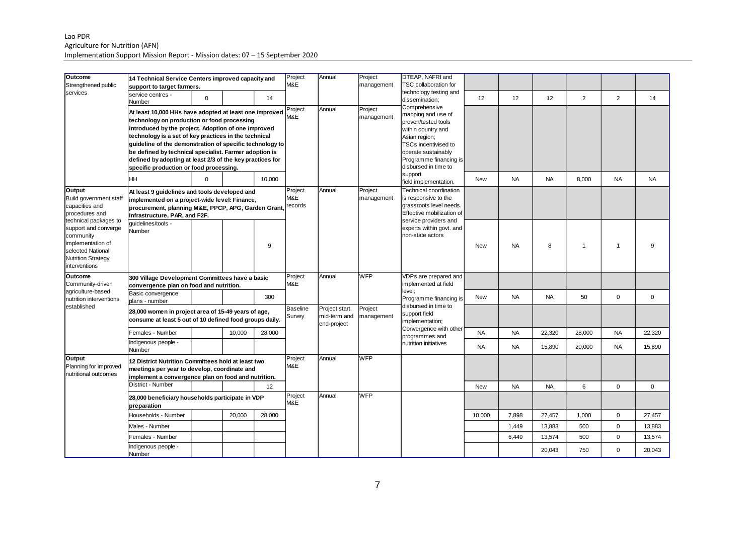#### Lao PDR Agriculture for Nutrition (AFN) Implementation Support Mission Report - Mission dates: 07 – 15 September 2020

| Outcome<br>Strengthened public<br>services                                                                                                                                                                                        | 14 Technical Service Centers improved capacity and<br>support to target farmers.                                                                                                                                                                                                                                                                                                                                                                    |          | Project<br>M&E            | Annual                                        | Project<br>management | DTEAP. NAFRI and<br><b>TSC collaboration for</b>                                                                                                                                                   |  |                                                                       |            |           |           |                |                |             |
|-----------------------------------------------------------------------------------------------------------------------------------------------------------------------------------------------------------------------------------|-----------------------------------------------------------------------------------------------------------------------------------------------------------------------------------------------------------------------------------------------------------------------------------------------------------------------------------------------------------------------------------------------------------------------------------------------------|----------|---------------------------|-----------------------------------------------|-----------------------|----------------------------------------------------------------------------------------------------------------------------------------------------------------------------------------------------|--|-----------------------------------------------------------------------|------------|-----------|-----------|----------------|----------------|-------------|
|                                                                                                                                                                                                                                   | service centres -<br>Number                                                                                                                                                                                                                                                                                                                                                                                                                         | $\Omega$ |                           | 14                                            |                       |                                                                                                                                                                                                    |  | technology testing and<br>dissemination:                              | 12         | 12        | 12        | $\overline{2}$ | $\overline{2}$ | 14          |
|                                                                                                                                                                                                                                   | At least 10,000 HHs have adopted at least one improved<br>technology on production or food processing<br>introduced by the project. Adoption of one improved<br>technology is a set of key practices in the technical<br>quideline of the demonstration of specific technology to<br>be defined by technical specialist. Farmer adoption is<br>defined by adopting at least 2/3 of the key practices for<br>specific production or food processing. |          | Project<br>M&E            | Annual                                        | Project<br>management | Comprehensive<br>mapping and use of<br>proven/tested tools<br>within country and<br>Asian region;<br>TSCs incentivised to<br>operate sustainably<br>Programme financing is<br>disbursed in time to |  |                                                                       |            |           |           |                |                |             |
|                                                                                                                                                                                                                                   | HH                                                                                                                                                                                                                                                                                                                                                                                                                                                  | $\Omega$ |                           | 10.000                                        |                       |                                                                                                                                                                                                    |  | support<br>field implementation.                                      | <b>New</b> | <b>NA</b> | <b>NA</b> | 8,000          | <b>NA</b>      | <b>NA</b>   |
| Output<br>Build government staff<br>capacities and<br>procedures and<br>technical packages to<br>support and converge<br>community<br>implementation of<br>selected National<br><b>Nutrition Strategy</b><br><i>interventions</i> | At least 9 guidelines and tools developed and<br>implemented on a project-wide level: Finance,<br>procurement, planning M&E, PPCP, APG, Garden Grant<br>Infrastructure, PAR, and F2F.                                                                                                                                                                                                                                                               |          | Project<br>M&E<br>records | Annual                                        | Project<br>management | Technical coordination<br>is responsive to the<br>grassroots level needs.<br>Effective mobilization of                                                                                             |  |                                                                       |            |           |           |                |                |             |
|                                                                                                                                                                                                                                   | auidelines/tools -<br>Number                                                                                                                                                                                                                                                                                                                                                                                                                        |          |                           | 9                                             |                       |                                                                                                                                                                                                    |  | service providers and<br>experts within govt. and<br>non-state actors | <b>New</b> | <b>NA</b> | 8         | $\mathbf{1}$   | $\mathbf{1}$   | 9           |
| <b>Outcome</b><br>Community-driven                                                                                                                                                                                                | 300 Village Development Committees have a basic<br>convergence plan on food and nutrition.                                                                                                                                                                                                                                                                                                                                                          |          | Project<br>M&E            | Annual                                        | <b>WFP</b>            | VDPs are prepared and<br>implemented at field                                                                                                                                                      |  |                                                                       |            |           |           |                |                |             |
| agriculture-based<br>nutrition interventions                                                                                                                                                                                      | Basic convergence<br>plans - number                                                                                                                                                                                                                                                                                                                                                                                                                 |          |                           | 300                                           |                       |                                                                                                                                                                                                    |  | level:<br>Programme financing is                                      | <b>New</b> | <b>NA</b> | <b>NA</b> | 50             | $\mathsf 0$    | $\mathbf 0$ |
| established                                                                                                                                                                                                                       | 28,000 women in project area of 15-49 years of age,<br>consume at least 5 out of 10 defined food groups daily.                                                                                                                                                                                                                                                                                                                                      |          | <b>Baseline</b><br>Survey | Project start,<br>mid-term and<br>end-project | Project<br>management | disbursed in time to<br>support field<br>implementation;                                                                                                                                           |  |                                                                       |            |           |           |                |                |             |
|                                                                                                                                                                                                                                   | Females - Number                                                                                                                                                                                                                                                                                                                                                                                                                                    |          | 10,000                    | 28,000                                        |                       |                                                                                                                                                                                                    |  | Convergence with other<br>programmes and                              | <b>NA</b>  | <b>NA</b> | 22,320    | 28,000         | <b>NA</b>      | 22,320      |
|                                                                                                                                                                                                                                   | Indigenous people -<br>Number                                                                                                                                                                                                                                                                                                                                                                                                                       |          |                           |                                               |                       |                                                                                                                                                                                                    |  | nutrition initiatives                                                 | <b>NA</b>  | <b>NA</b> | 15,890    | 20,000         | <b>NA</b>      | 15,890      |
| Output<br>Planning for improved<br>nutritional outcomes                                                                                                                                                                           | 12 District Nutrition Committees hold at least two<br>meetings per year to develop, coordinate and<br>implement a convergence plan on food and nutrition.                                                                                                                                                                                                                                                                                           |          | Project<br>M&E            | Annual                                        | <b>WFP</b>            |                                                                                                                                                                                                    |  |                                                                       |            |           |           |                |                |             |
|                                                                                                                                                                                                                                   | District - Number                                                                                                                                                                                                                                                                                                                                                                                                                                   |          |                           | 12                                            |                       |                                                                                                                                                                                                    |  |                                                                       | <b>New</b> | <b>NA</b> | <b>NA</b> | 6              | $\mathbf 0$    | $\mathbf 0$ |
|                                                                                                                                                                                                                                   | 28,000 beneficiary households participate in VDP<br>preparation                                                                                                                                                                                                                                                                                                                                                                                     |          | Project<br>M&E            | Annual                                        | <b>WFP</b>            |                                                                                                                                                                                                    |  |                                                                       |            |           |           |                |                |             |
|                                                                                                                                                                                                                                   | Households - Number                                                                                                                                                                                                                                                                                                                                                                                                                                 |          | 20,000                    | 28,000                                        |                       |                                                                                                                                                                                                    |  |                                                                       | 10,000     | 7,898     | 27,457    | 1,000          | $\mathbf 0$    | 27,457      |
|                                                                                                                                                                                                                                   | Males - Number                                                                                                                                                                                                                                                                                                                                                                                                                                      |          |                           |                                               |                       |                                                                                                                                                                                                    |  |                                                                       |            | 1,449     | 13,883    | 500            | $\mathbf 0$    | 13,883      |
|                                                                                                                                                                                                                                   | Females - Number                                                                                                                                                                                                                                                                                                                                                                                                                                    |          |                           |                                               |                       |                                                                                                                                                                                                    |  |                                                                       |            | 6,449     | 13,574    | 500            | $\mathsf 0$    | 13,574      |
|                                                                                                                                                                                                                                   | Indigenous people -<br>Number                                                                                                                                                                                                                                                                                                                                                                                                                       |          |                           |                                               |                       |                                                                                                                                                                                                    |  |                                                                       |            |           | 20,043    | 750            | $\mathbf 0$    | 20,043      |